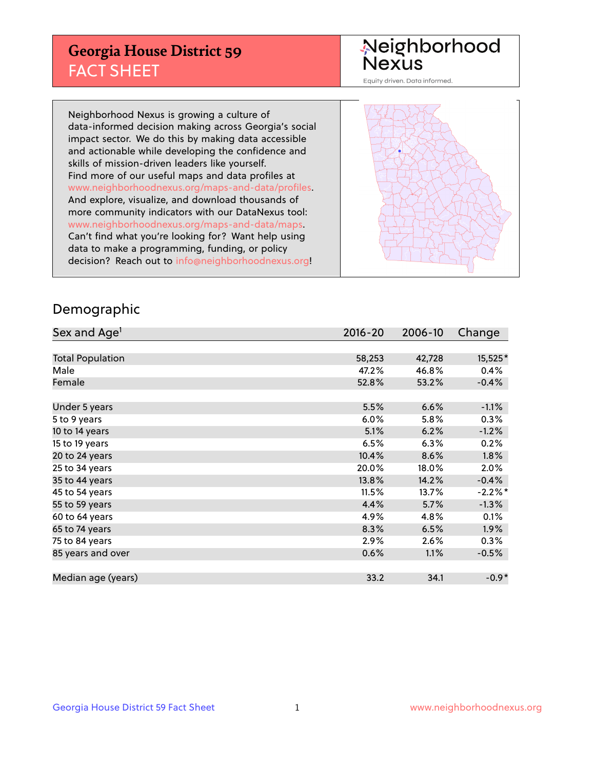## **Georgia House District 59** FACT SHEET

# Neighborhood<br>Nexus

Equity driven. Data informed.

Neighborhood Nexus is growing a culture of data-informed decision making across Georgia's social impact sector. We do this by making data accessible and actionable while developing the confidence and skills of mission-driven leaders like yourself. Find more of our useful maps and data profiles at www.neighborhoodnexus.org/maps-and-data/profiles. And explore, visualize, and download thousands of more community indicators with our DataNexus tool: www.neighborhoodnexus.org/maps-and-data/maps. Can't find what you're looking for? Want help using data to make a programming, funding, or policy decision? Reach out to [info@neighborhoodnexus.org!](mailto:info@neighborhoodnexus.org)



### Demographic

| Sex and Age <sup>1</sup> | $2016 - 20$ | 2006-10 | Change    |
|--------------------------|-------------|---------|-----------|
|                          |             |         |           |
| <b>Total Population</b>  | 58,253      | 42,728  | 15,525*   |
| Male                     | 47.2%       | 46.8%   | 0.4%      |
| Female                   | 52.8%       | 53.2%   | $-0.4%$   |
|                          |             |         |           |
| Under 5 years            | 5.5%        | 6.6%    | $-1.1%$   |
| 5 to 9 years             | $6.0\%$     | 5.8%    | $0.3\%$   |
| 10 to 14 years           | 5.1%        | 6.2%    | $-1.2%$   |
| 15 to 19 years           | 6.5%        | 6.3%    | 0.2%      |
| 20 to 24 years           | 10.4%       | 8.6%    | 1.8%      |
| 25 to 34 years           | 20.0%       | 18.0%   | $2.0\%$   |
| 35 to 44 years           | 13.8%       | 14.2%   | $-0.4%$   |
| 45 to 54 years           | 11.5%       | 13.7%   | $-2.2%$ * |
| 55 to 59 years           | 4.4%        | 5.7%    | $-1.3%$   |
| 60 to 64 years           | 4.9%        | 4.8%    | 0.1%      |
| 65 to 74 years           | 8.3%        | 6.5%    | 1.9%      |
| 75 to 84 years           | 2.9%        | 2.6%    | 0.3%      |
| 85 years and over        | 0.6%        | 1.1%    | $-0.5%$   |
|                          |             |         |           |
| Median age (years)       | 33.2        | 34.1    | $-0.9*$   |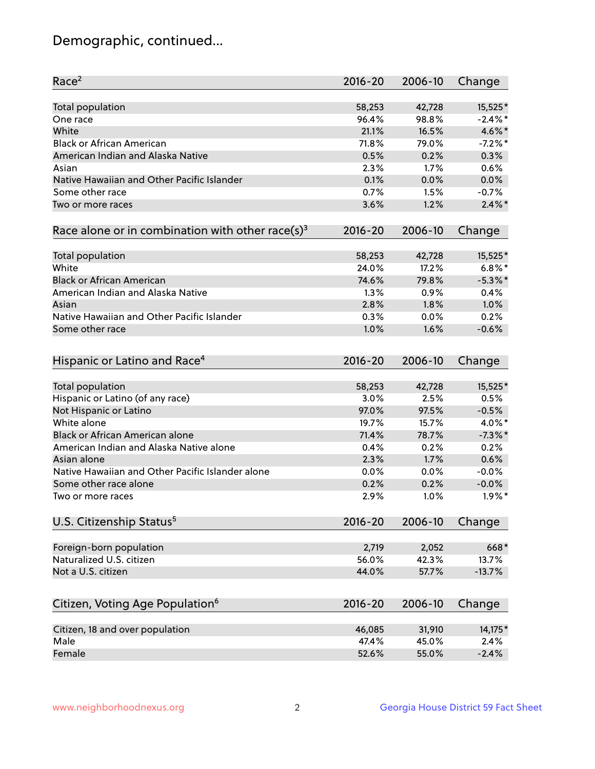## Demographic, continued...

| Race <sup>2</sup>                                            | $2016 - 20$ | 2006-10 | Change     |
|--------------------------------------------------------------|-------------|---------|------------|
| <b>Total population</b>                                      | 58,253      | 42,728  | 15,525*    |
| One race                                                     | 96.4%       | 98.8%   | $-2.4\%$ * |
| White                                                        | 21.1%       | 16.5%   | 4.6%*      |
| <b>Black or African American</b>                             | 71.8%       | 79.0%   | $-7.2\%$ * |
| American Indian and Alaska Native                            | 0.5%        | 0.2%    | 0.3%       |
| Asian                                                        | 2.3%        | 1.7%    | 0.6%       |
| Native Hawaiian and Other Pacific Islander                   | 0.1%        | 0.0%    | 0.0%       |
| Some other race                                              | 0.7%        | 1.5%    | $-0.7%$    |
| Two or more races                                            | 3.6%        | 1.2%    | $2.4\%$ *  |
| Race alone or in combination with other race(s) <sup>3</sup> | $2016 - 20$ | 2006-10 | Change     |
| Total population                                             | 58,253      | 42,728  | 15,525*    |
| White                                                        | 24.0%       | 17.2%   | $6.8\%$ *  |
| <b>Black or African American</b>                             | 74.6%       | 79.8%   | $-5.3\%$ * |
| American Indian and Alaska Native                            | 1.3%        | 0.9%    | 0.4%       |
| Asian                                                        | 2.8%        | 1.8%    | 1.0%       |
| Native Hawaiian and Other Pacific Islander                   | 0.3%        | 0.0%    | 0.2%       |
| Some other race                                              | 1.0%        | 1.6%    | $-0.6%$    |
| Hispanic or Latino and Race <sup>4</sup>                     | $2016 - 20$ | 2006-10 | Change     |
| Total population                                             | 58,253      | 42,728  | 15,525*    |
| Hispanic or Latino (of any race)                             | 3.0%        | 2.5%    | 0.5%       |
| Not Hispanic or Latino                                       | 97.0%       | 97.5%   | $-0.5%$    |
| White alone                                                  | 19.7%       | 15.7%   | 4.0%*      |
| Black or African American alone                              | 71.4%       | 78.7%   | $-7.3\%$ * |
| American Indian and Alaska Native alone                      | 0.4%        | 0.2%    | 0.2%       |
| Asian alone                                                  | 2.3%        | 1.7%    | 0.6%       |
| Native Hawaiian and Other Pacific Islander alone             | 0.0%        | 0.0%    | $-0.0%$    |
| Some other race alone                                        | 0.2%        | 0.2%    | $-0.0%$    |
| Two or more races                                            | 2.9%        | 1.0%    | $1.9\%$ *  |
| U.S. Citizenship Status <sup>5</sup>                         | $2016 - 20$ | 2006-10 | Change     |
| Foreign-born population                                      | 2,719       | 2,052   | 668*       |
| Naturalized U.S. citizen                                     | 56.0%       | 42.3%   | 13.7%      |
| Not a U.S. citizen                                           | 44.0%       | 57.7%   | $-13.7%$   |
|                                                              |             |         |            |
| Citizen, Voting Age Population <sup>6</sup>                  | $2016 - 20$ | 2006-10 | Change     |
| Citizen, 18 and over population                              | 46,085      | 31,910  | 14,175*    |
| Male                                                         | 47.4%       | 45.0%   | 2.4%       |
| Female                                                       | 52.6%       | 55.0%   | $-2.4%$    |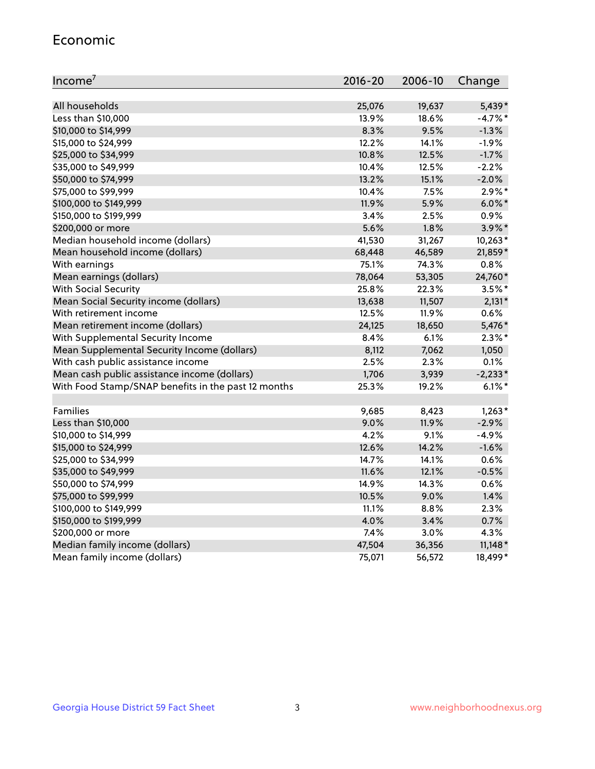#### Economic

| Income <sup>7</sup>                                 | $2016 - 20$ | 2006-10 | Change    |
|-----------------------------------------------------|-------------|---------|-----------|
|                                                     |             |         |           |
| All households                                      | 25,076      | 19,637  | 5,439*    |
| Less than \$10,000                                  | 13.9%       | 18.6%   | $-4.7%$ * |
| \$10,000 to \$14,999                                | 8.3%        | 9.5%    | $-1.3%$   |
| \$15,000 to \$24,999                                | 12.2%       | 14.1%   | $-1.9%$   |
| \$25,000 to \$34,999                                | 10.8%       | 12.5%   | $-1.7%$   |
| \$35,000 to \$49,999                                | 10.4%       | 12.5%   | $-2.2%$   |
| \$50,000 to \$74,999                                | 13.2%       | 15.1%   | $-2.0%$   |
| \$75,000 to \$99,999                                | 10.4%       | 7.5%    | $2.9\%$ * |
| \$100,000 to \$149,999                              | 11.9%       | 5.9%    | $6.0\%$ * |
| \$150,000 to \$199,999                              | 3.4%        | 2.5%    | $0.9\%$   |
| \$200,000 or more                                   | 5.6%        | 1.8%    | $3.9\%$ * |
| Median household income (dollars)                   | 41,530      | 31,267  | $10,263*$ |
| Mean household income (dollars)                     | 68,448      | 46,589  | 21,859*   |
| With earnings                                       | 75.1%       | 74.3%   | 0.8%      |
| Mean earnings (dollars)                             | 78,064      | 53,305  | 24,760*   |
| <b>With Social Security</b>                         | 25.8%       | 22.3%   | $3.5%$ *  |
| Mean Social Security income (dollars)               | 13,638      | 11,507  | $2,131*$  |
| With retirement income                              | 12.5%       | 11.9%   | 0.6%      |
| Mean retirement income (dollars)                    | 24,125      | 18,650  | 5,476*    |
| With Supplemental Security Income                   | 8.4%        | $6.1\%$ | $2.3\%$ * |
| Mean Supplemental Security Income (dollars)         | 8,112       | 7,062   | 1,050     |
| With cash public assistance income                  | 2.5%        | 2.3%    | 0.1%      |
| Mean cash public assistance income (dollars)        | 1,706       | 3,939   | $-2,233*$ |
| With Food Stamp/SNAP benefits in the past 12 months | 25.3%       | 19.2%   | $6.1\%$ * |
|                                                     |             |         |           |
| Families                                            | 9,685       | 8,423   | $1,263*$  |
| Less than \$10,000                                  | 9.0%        | 11.9%   | $-2.9%$   |
| \$10,000 to \$14,999                                | 4.2%        | 9.1%    | $-4.9%$   |
| \$15,000 to \$24,999                                | 12.6%       | 14.2%   | $-1.6%$   |
| \$25,000 to \$34,999                                | 14.7%       | 14.1%   | 0.6%      |
| \$35,000 to \$49,999                                | 11.6%       | 12.1%   | $-0.5%$   |
| \$50,000 to \$74,999                                | 14.9%       | 14.3%   | 0.6%      |
| \$75,000 to \$99,999                                | 10.5%       | 9.0%    | 1.4%      |
| \$100,000 to \$149,999                              | 11.1%       | $8.8\%$ | 2.3%      |
| \$150,000 to \$199,999                              | 4.0%        | 3.4%    | 0.7%      |
| \$200,000 or more                                   | 7.4%        | 3.0%    | 4.3%      |
| Median family income (dollars)                      | 47,504      | 36,356  | $11,148*$ |
| Mean family income (dollars)                        | 75,071      | 56,572  | 18,499*   |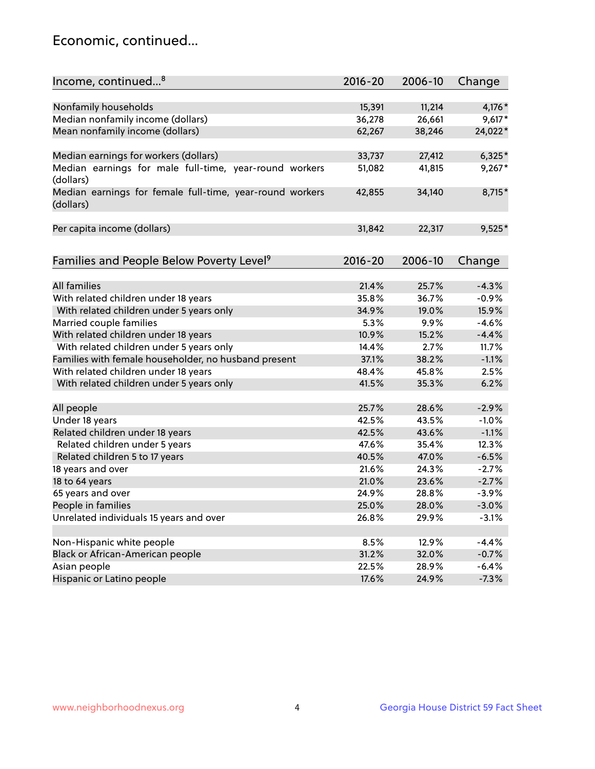## Economic, continued...

| Income, continued <sup>8</sup>                                        | $2016 - 20$ | 2006-10 | Change   |
|-----------------------------------------------------------------------|-------------|---------|----------|
|                                                                       |             |         |          |
| Nonfamily households                                                  | 15,391      | 11,214  | $4,176*$ |
| Median nonfamily income (dollars)                                     | 36,278      | 26,661  | $9,617*$ |
| Mean nonfamily income (dollars)                                       | 62,267      | 38,246  | 24,022*  |
| Median earnings for workers (dollars)                                 | 33,737      | 27,412  | $6,325*$ |
| Median earnings for male full-time, year-round workers                | 51,082      | 41,815  | $9,267*$ |
| (dollars)                                                             |             |         |          |
| Median earnings for female full-time, year-round workers<br>(dollars) | 42,855      | 34,140  | 8,715*   |
| Per capita income (dollars)                                           | 31,842      | 22,317  | $9,525*$ |
|                                                                       |             |         |          |
| Families and People Below Poverty Level <sup>9</sup>                  | $2016 - 20$ | 2006-10 | Change   |
|                                                                       |             |         |          |
| <b>All families</b>                                                   | 21.4%       | 25.7%   | $-4.3%$  |
| With related children under 18 years                                  | 35.8%       | 36.7%   | $-0.9%$  |
| With related children under 5 years only                              | 34.9%       | 19.0%   | 15.9%    |
| Married couple families                                               | 5.3%        | 9.9%    | $-4.6%$  |
| With related children under 18 years                                  | 10.9%       | 15.2%   | $-4.4%$  |
| With related children under 5 years only                              | 14.4%       | 2.7%    | 11.7%    |
| Families with female householder, no husband present                  | 37.1%       | 38.2%   | $-1.1%$  |
| With related children under 18 years                                  | 48.4%       | 45.8%   | 2.5%     |
| With related children under 5 years only                              | 41.5%       | 35.3%   | 6.2%     |
| All people                                                            | 25.7%       | 28.6%   | $-2.9%$  |
| Under 18 years                                                        | 42.5%       | 43.5%   | $-1.0%$  |
| Related children under 18 years                                       | 42.5%       | 43.6%   | $-1.1%$  |
| Related children under 5 years                                        | 47.6%       | 35.4%   | 12.3%    |
| Related children 5 to 17 years                                        | 40.5%       | 47.0%   | $-6.5%$  |
| 18 years and over                                                     | 21.6%       | 24.3%   | $-2.7%$  |
| 18 to 64 years                                                        | 21.0%       | 23.6%   | $-2.7%$  |
| 65 years and over                                                     | 24.9%       | 28.8%   | $-3.9%$  |
| People in families                                                    | 25.0%       | 28.0%   | $-3.0%$  |
| Unrelated individuals 15 years and over                               |             |         |          |
|                                                                       | 26.8%       | 29.9%   | $-3.1%$  |
| Non-Hispanic white people                                             | 8.5%        | 12.9%   | $-4.4%$  |
| Black or African-American people                                      | 31.2%       | 32.0%   | $-0.7%$  |
| Asian people                                                          | 22.5%       | 28.9%   | $-6.4%$  |
| Hispanic or Latino people                                             | 17.6%       | 24.9%   | $-7.3%$  |
|                                                                       |             |         |          |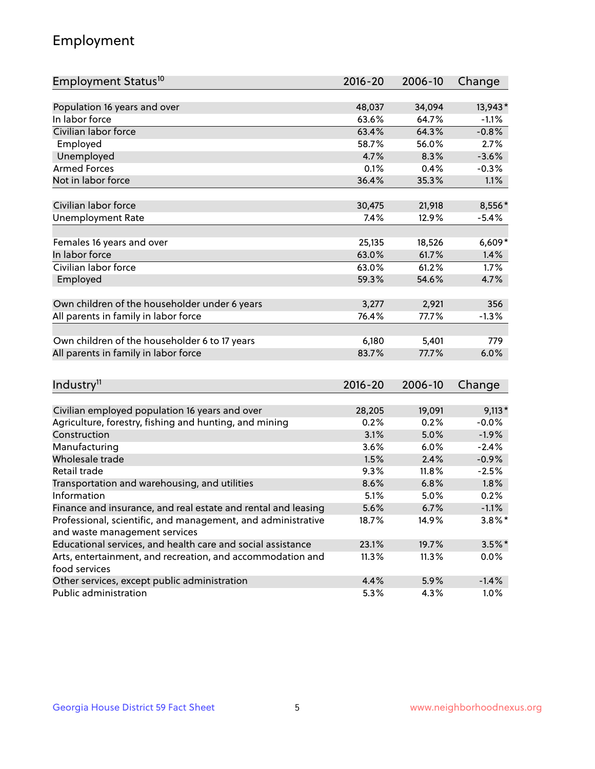## Employment

| Employment Status <sup>10</sup>                                                              | $2016 - 20$ | 2006-10 | Change    |
|----------------------------------------------------------------------------------------------|-------------|---------|-----------|
|                                                                                              |             |         |           |
| Population 16 years and over                                                                 | 48,037      | 34,094  | 13,943*   |
| In labor force                                                                               | 63.6%       | 64.7%   | $-1.1%$   |
| Civilian labor force                                                                         | 63.4%       | 64.3%   | $-0.8%$   |
| Employed                                                                                     | 58.7%       | 56.0%   | 2.7%      |
| Unemployed                                                                                   | 4.7%        | 8.3%    | $-3.6%$   |
| <b>Armed Forces</b>                                                                          | 0.1%        | 0.4%    | $-0.3%$   |
| Not in labor force                                                                           | 36.4%       | 35.3%   | 1.1%      |
|                                                                                              |             |         |           |
| Civilian labor force                                                                         | 30,475      | 21,918  | 8,556*    |
| <b>Unemployment Rate</b>                                                                     | 7.4%        | 12.9%   | $-5.4%$   |
| Females 16 years and over                                                                    | 25,135      | 18,526  | $6,609*$  |
| In labor force                                                                               | 63.0%       | 61.7%   | 1.4%      |
| Civilian labor force                                                                         | 63.0%       | 61.2%   | 1.7%      |
| Employed                                                                                     | 59.3%       | 54.6%   | 4.7%      |
|                                                                                              |             |         |           |
| Own children of the householder under 6 years                                                | 3,277       | 2,921   | 356       |
| All parents in family in labor force                                                         | 76.4%       | 77.7%   | $-1.3%$   |
|                                                                                              |             |         |           |
| Own children of the householder 6 to 17 years                                                | 6,180       | 5,401   | 779       |
| All parents in family in labor force                                                         | 83.7%       | 77.7%   | 6.0%      |
|                                                                                              |             |         |           |
| Industry <sup>11</sup>                                                                       | $2016 - 20$ | 2006-10 | Change    |
|                                                                                              |             |         |           |
| Civilian employed population 16 years and over                                               | 28,205      | 19,091  | $9,113*$  |
| Agriculture, forestry, fishing and hunting, and mining                                       | 0.2%        | 0.2%    | $-0.0%$   |
| Construction                                                                                 | 3.1%        | 5.0%    | $-1.9%$   |
| Manufacturing                                                                                | 3.6%        | 6.0%    | $-2.4%$   |
| Wholesale trade                                                                              | 1.5%        | 2.4%    | $-0.9%$   |
| Retail trade                                                                                 | 9.3%        | 11.8%   | $-2.5%$   |
| Transportation and warehousing, and utilities                                                | 8.6%        | 6.8%    | 1.8%      |
| Information                                                                                  | 5.1%        | 5.0%    | 0.2%      |
| Finance and insurance, and real estate and rental and leasing                                | 5.6%        | 6.7%    | $-1.1%$   |
| Professional, scientific, and management, and administrative                                 | 18.7%       | 14.9%   | $3.8\%$ * |
| and waste management services<br>Educational services, and health care and social assistance |             | 19.7%   |           |
|                                                                                              | 23.1%       |         | $3.5%$ *  |
| Arts, entertainment, and recreation, and accommodation and<br>food services                  | 11.3%       | 11.3%   | $0.0\%$   |
| Other services, except public administration                                                 | 4.4%        | 5.9%    | $-1.4%$   |
| Public administration                                                                        | 5.3%        | 4.3%    | 1.0%      |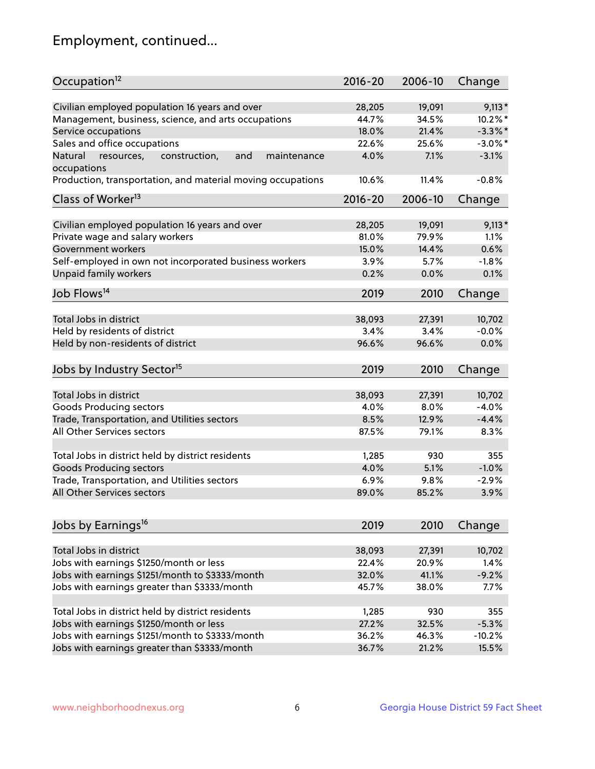## Employment, continued...

| Occupation <sup>12</sup>                                                    | $2016 - 20$ | 2006-10 | Change     |
|-----------------------------------------------------------------------------|-------------|---------|------------|
| Civilian employed population 16 years and over                              | 28,205      | 19,091  | $9,113*$   |
| Management, business, science, and arts occupations                         | 44.7%       | 34.5%   | $10.2\%$ * |
| Service occupations                                                         | 18.0%       | 21.4%   | $-3.3\%$ * |
| Sales and office occupations                                                | 22.6%       | 25.6%   | $-3.0\%$ * |
|                                                                             |             |         |            |
| Natural<br>and<br>resources,<br>construction,<br>maintenance<br>occupations | 4.0%        | 7.1%    | $-3.1%$    |
| Production, transportation, and material moving occupations                 | 10.6%       | 11.4%   | $-0.8%$    |
| Class of Worker <sup>13</sup>                                               | 2016-20     | 2006-10 | Change     |
|                                                                             |             |         |            |
| Civilian employed population 16 years and over                              | 28,205      | 19,091  | $9,113*$   |
| Private wage and salary workers                                             | 81.0%       | 79.9%   | 1.1%       |
| Government workers                                                          | 15.0%       | 14.4%   | 0.6%       |
| Self-employed in own not incorporated business workers                      | 3.9%        | 5.7%    | $-1.8%$    |
| Unpaid family workers                                                       | 0.2%        | 0.0%    | 0.1%       |
| Job Flows <sup>14</sup>                                                     | 2019        | 2010    | Change     |
|                                                                             |             |         |            |
| Total Jobs in district                                                      | 38,093      | 27,391  | 10,702     |
| Held by residents of district                                               | 3.4%        | 3.4%    | $-0.0%$    |
| Held by non-residents of district                                           | 96.6%       | 96.6%   | 0.0%       |
| Jobs by Industry Sector <sup>15</sup>                                       | 2019        | 2010    | Change     |
|                                                                             |             |         |            |
| Total Jobs in district                                                      | 38,093      | 27,391  | 10,702     |
| Goods Producing sectors                                                     | 4.0%        | 8.0%    | $-4.0%$    |
| Trade, Transportation, and Utilities sectors                                | 8.5%        | 12.9%   | $-4.4%$    |
| All Other Services sectors                                                  | 87.5%       | 79.1%   | 8.3%       |
|                                                                             |             |         |            |
| Total Jobs in district held by district residents                           | 1,285       | 930     | 355        |
| <b>Goods Producing sectors</b>                                              | 4.0%        | 5.1%    | $-1.0%$    |
| Trade, Transportation, and Utilities sectors                                | 6.9%        | 9.8%    | $-2.9%$    |
| All Other Services sectors                                                  | 89.0%       | 85.2%   | 3.9%       |
|                                                                             |             |         |            |
| Jobs by Earnings <sup>16</sup>                                              | 2019        | 2010    | Change     |
| Total Jobs in district                                                      | 38,093      | 27,391  | 10,702     |
| Jobs with earnings \$1250/month or less                                     | 22.4%       | 20.9%   | 1.4%       |
| Jobs with earnings \$1251/month to \$3333/month                             | 32.0%       | 41.1%   | $-9.2%$    |
|                                                                             | 45.7%       | 38.0%   |            |
| Jobs with earnings greater than \$3333/month                                |             |         | 7.7%       |
| Total Jobs in district held by district residents                           | 1,285       | 930     | 355        |
| Jobs with earnings \$1250/month or less                                     | 27.2%       | 32.5%   | $-5.3%$    |
| Jobs with earnings \$1251/month to \$3333/month                             | 36.2%       | 46.3%   | $-10.2%$   |
| Jobs with earnings greater than \$3333/month                                | 36.7%       | 21.2%   | 15.5%      |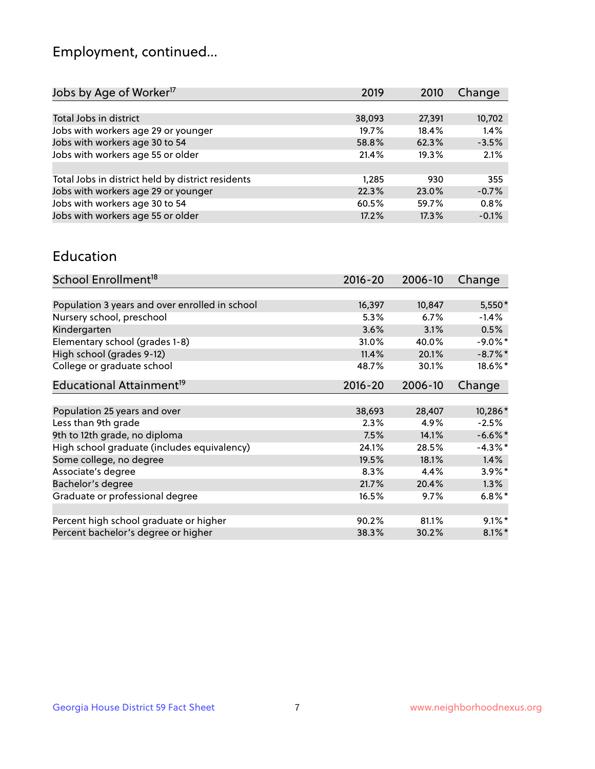## Employment, continued...

| Jobs by Age of Worker <sup>17</sup>               | 2019   | 2010   | Change  |
|---------------------------------------------------|--------|--------|---------|
|                                                   |        |        |         |
| Total Jobs in district                            | 38,093 | 27,391 | 10,702  |
| Jobs with workers age 29 or younger               | 19.7%  | 18.4%  | 1.4%    |
| Jobs with workers age 30 to 54                    | 58.8%  | 62.3%  | $-3.5%$ |
| Jobs with workers age 55 or older                 | 21.4%  | 19.3%  | 2.1%    |
|                                                   |        |        |         |
| Total Jobs in district held by district residents | 1.285  | 930    | 355     |
| Jobs with workers age 29 or younger               | 22.3%  | 23.0%  | $-0.7%$ |
| Jobs with workers age 30 to 54                    | 60.5%  | 59.7%  | 0.8%    |
| Jobs with workers age 55 or older                 | 17.2%  | 17.3%  | $-0.1%$ |
|                                                   |        |        |         |

#### Education

| School Enrollment <sup>18</sup>                | $2016 - 20$ | 2006-10 | Change     |
|------------------------------------------------|-------------|---------|------------|
|                                                |             |         |            |
| Population 3 years and over enrolled in school | 16,397      | 10,847  | $5,550*$   |
| Nursery school, preschool                      | 5.3%        | 6.7%    | $-1.4%$    |
| Kindergarten                                   | 3.6%        | 3.1%    | 0.5%       |
| Elementary school (grades 1-8)                 | 31.0%       | 40.0%   | $-9.0\%$ * |
| High school (grades 9-12)                      | 11.4%       | 20.1%   | $-8.7\%$ * |
| College or graduate school                     | 48.7%       | 30.1%   | 18.6%*     |
| Educational Attainment <sup>19</sup>           | $2016 - 20$ | 2006-10 | Change     |
|                                                |             |         |            |
| Population 25 years and over                   | 38,693      | 28,407  | 10,286*    |
| Less than 9th grade                            | 2.3%        | 4.9%    | $-2.5%$    |
| 9th to 12th grade, no diploma                  | 7.5%        | 14.1%   | $-6.6\%$ * |
| High school graduate (includes equivalency)    | 24.1%       | 28.5%   | $-4.3\%$ * |
| Some college, no degree                        | 19.5%       | 18.1%   | 1.4%       |
| Associate's degree                             | 8.3%        | 4.4%    | $3.9\%$ *  |
| Bachelor's degree                              | 21.7%       | 20.4%   | 1.3%       |
| Graduate or professional degree                | 16.5%       | $9.7\%$ | $6.8\%$ *  |
|                                                |             |         |            |
| Percent high school graduate or higher         | 90.2%       | 81.1%   | $9.1\%$ *  |
| Percent bachelor's degree or higher            | 38.3%       | 30.2%   | $8.1\%$ *  |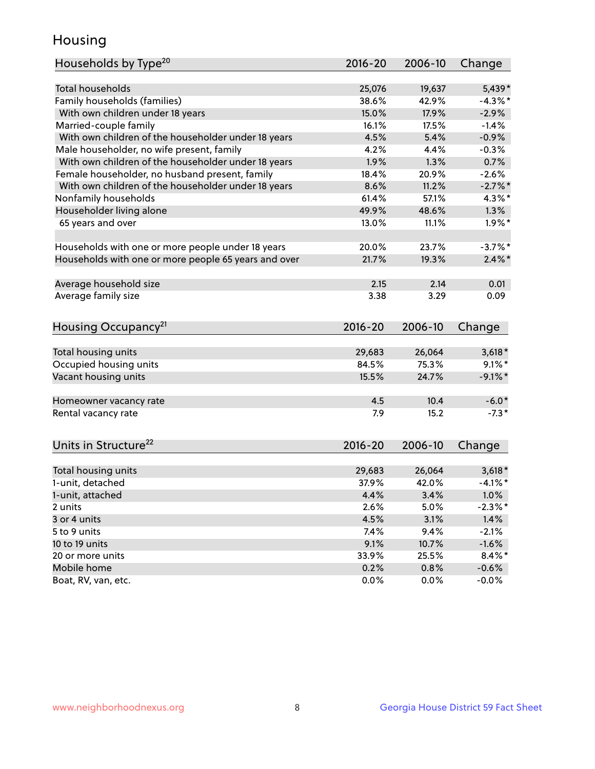## Housing

| Households by Type <sup>20</sup>                     | 2016-20         | 2006-10         | Change                |
|------------------------------------------------------|-----------------|-----------------|-----------------------|
|                                                      |                 |                 |                       |
| <b>Total households</b>                              | 25,076          | 19,637          | 5,439*                |
| Family households (families)                         | 38.6%           | 42.9%           | $-4.3\%$ *            |
| With own children under 18 years                     | 15.0%           | 17.9%           | $-2.9%$               |
| Married-couple family                                | 16.1%           | 17.5%           | $-1.4%$               |
| With own children of the householder under 18 years  | 4.5%            | 5.4%            | $-0.9%$               |
| Male householder, no wife present, family            | 4.2%            | 4.4%            | $-0.3%$               |
| With own children of the householder under 18 years  | 1.9%            | 1.3%            | 0.7%                  |
| Female householder, no husband present, family       | 18.4%           | 20.9%           | $-2.6%$               |
| With own children of the householder under 18 years  | 8.6%            | 11.2%           | $-2.7%$ *             |
| Nonfamily households                                 | 61.4%           | 57.1%           | $4.3\%$ *             |
| Householder living alone                             | 49.9%           | 48.6%           | 1.3%                  |
| 65 years and over                                    | 13.0%           | 11.1%           | $1.9\%$ *             |
| Households with one or more people under 18 years    | 20.0%           | 23.7%           | $-3.7%$ *             |
| Households with one or more people 65 years and over | 21.7%           | 19.3%           | $2.4\%$ *             |
|                                                      |                 |                 |                       |
| Average household size                               | 2.15            | 2.14            | 0.01                  |
| Average family size                                  | 3.38            | 3.29            | 0.09                  |
| Housing Occupancy <sup>21</sup>                      | $2016 - 20$     | 2006-10         | Change                |
|                                                      |                 |                 |                       |
| Total housing units                                  | 29,683<br>84.5% | 26,064<br>75.3% | $3,618*$<br>$9.1\%$ * |
| Occupied housing units                               |                 |                 |                       |
| Vacant housing units                                 | 15.5%           | 24.7%           | $-9.1\%$ *            |
| Homeowner vacancy rate                               | 4.5             | 10.4            | $-6.0*$               |
| Rental vacancy rate                                  | 7.9             | 15.2            | $-7.3*$               |
| Units in Structure <sup>22</sup>                     | $2016 - 20$     | 2006-10         | Change                |
| Total housing units                                  | 29,683          | 26,064          | $3,618*$              |
| 1-unit, detached                                     | 37.9%           | 42.0%           | $-4.1%$ *             |
| 1-unit, attached                                     | 4.4%            | 3.4%            | $1.0\%$               |
| 2 units                                              | 2.6%            | 5.0%            | $-2.3\%$ *            |
| 3 or 4 units                                         | 4.5%            | 3.1%            | 1.4%                  |
| 5 to 9 units                                         | 7.4%            | 9.4%            | $-2.1%$               |
| 10 to 19 units                                       | 9.1%            | 10.7%           | $-1.6%$               |
| 20 or more units                                     | 33.9%           | 25.5%           | $8.4\%$ *             |
| Mobile home                                          | 0.2%            | 0.8%            | $-0.6\%$              |
| Boat, RV, van, etc.                                  | 0.0%            | 0.0%            | $-0.0\%$              |
|                                                      |                 |                 |                       |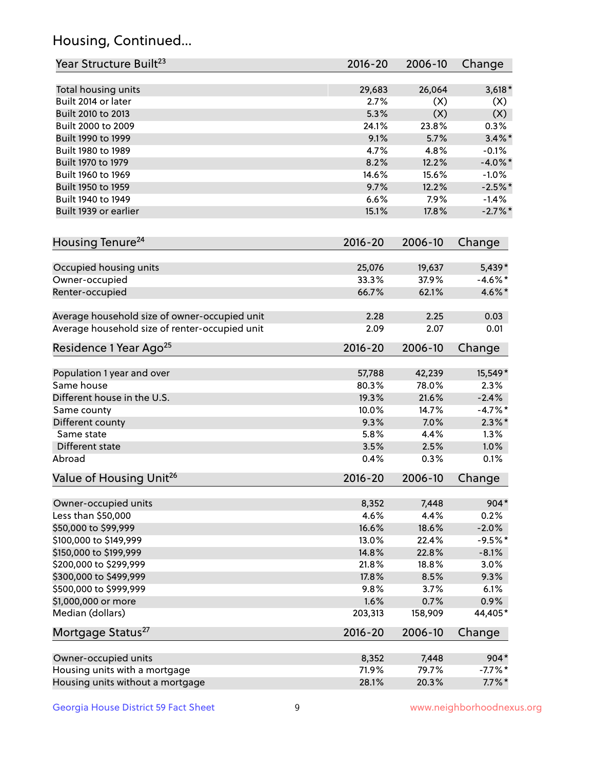## Housing, Continued...

| Year Structure Built <sup>23</sup>             | 2016-20     | 2006-10 | Change     |
|------------------------------------------------|-------------|---------|------------|
| Total housing units                            | 29,683      | 26,064  | $3,618*$   |
| Built 2014 or later                            | 2.7%        | (X)     | (X)        |
| Built 2010 to 2013                             | 5.3%        | (X)     | (X)        |
| Built 2000 to 2009                             | 24.1%       | 23.8%   | 0.3%       |
| Built 1990 to 1999                             | 9.1%        | 5.7%    | $3.4\%$ *  |
| Built 1980 to 1989                             | 4.7%        | 4.8%    | $-0.1%$    |
| Built 1970 to 1979                             | 8.2%        | 12.2%   | $-4.0\%$ * |
| Built 1960 to 1969                             | 14.6%       | 15.6%   | $-1.0%$    |
| Built 1950 to 1959                             | 9.7%        | 12.2%   | $-2.5%$ *  |
| Built 1940 to 1949                             | 6.6%        | 7.9%    | $-1.4%$    |
| Built 1939 or earlier                          | 15.1%       | 17.8%   | $-2.7\%$ * |
| Housing Tenure <sup>24</sup>                   | $2016 - 20$ | 2006-10 | Change     |
| Occupied housing units                         | 25,076      | 19,637  | 5,439*     |
| Owner-occupied                                 | 33.3%       | 37.9%   | $-4.6\%$ * |
| Renter-occupied                                | 66.7%       | 62.1%   | 4.6%*      |
| Average household size of owner-occupied unit  | 2.28        | 2.25    | 0.03       |
| Average household size of renter-occupied unit | 2.09        | 2.07    | 0.01       |
| Residence 1 Year Ago <sup>25</sup>             | $2016 - 20$ | 2006-10 | Change     |
| Population 1 year and over                     | 57,788      | 42,239  | 15,549*    |
| Same house                                     | 80.3%       | 78.0%   | 2.3%       |
| Different house in the U.S.                    | 19.3%       | 21.6%   | $-2.4%$    |
| Same county                                    | 10.0%       | 14.7%   | $-4.7%$ *  |
| Different county                               | 9.3%        | 7.0%    | $2.3\%$ *  |
| Same state                                     | 5.8%        | 4.4%    | 1.3%       |
| Different state                                | 3.5%        | 2.5%    | 1.0%       |
| Abroad                                         | 0.4%        | 0.3%    | 0.1%       |
| Value of Housing Unit <sup>26</sup>            | $2016 - 20$ | 2006-10 | Change     |
| Owner-occupied units                           | 8,352       | 7,448   | 904*       |
| Less than \$50,000                             | 4.6%        | 4.4%    | 0.2%       |
| \$50,000 to \$99,999                           | 16.6%       | 18.6%   | $-2.0%$    |
| \$100,000 to \$149,999                         | 13.0%       | 22.4%   | $-9.5%$ *  |
| \$150,000 to \$199,999                         | 14.8%       | 22.8%   | $-8.1%$    |
| \$200,000 to \$299,999                         | 21.8%       | 18.8%   | 3.0%       |
| \$300,000 to \$499,999                         | 17.8%       | 8.5%    | 9.3%       |
| \$500,000 to \$999,999                         | 9.8%        | 3.7%    | 6.1%       |
| \$1,000,000 or more                            | 1.6%        | 0.7%    | 0.9%       |
| Median (dollars)                               | 203,313     | 158,909 | 44,405*    |
| Mortgage Status <sup>27</sup>                  | $2016 - 20$ | 2006-10 | Change     |
| Owner-occupied units                           | 8,352       | 7,448   | 904*       |
| Housing units with a mortgage                  | 71.9%       | 79.7%   | $-7.7\%$ * |
| Housing units without a mortgage               | 28.1%       | 20.3%   | $7.7\%$ *  |
|                                                |             |         |            |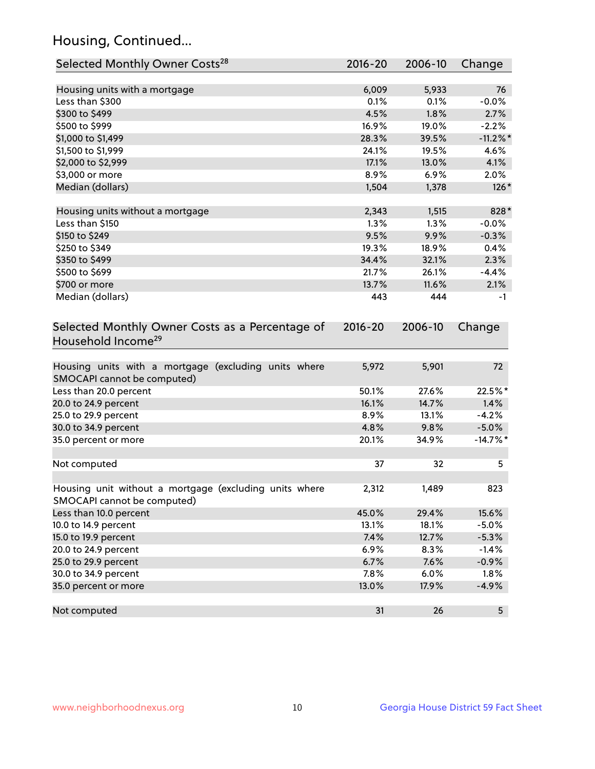## Housing, Continued...

| Selected Monthly Owner Costs <sup>28</sup>                                            | 2016-20     | 2006-10 | Change         |
|---------------------------------------------------------------------------------------|-------------|---------|----------------|
| Housing units with a mortgage                                                         | 6,009       | 5,933   | 76             |
| Less than \$300                                                                       | 0.1%        | 0.1%    | $-0.0%$        |
| \$300 to \$499                                                                        | 4.5%        | 1.8%    | 2.7%           |
| \$500 to \$999                                                                        | 16.9%       | 19.0%   | $-2.2%$        |
| \$1,000 to \$1,499                                                                    | 28.3%       | 39.5%   | $-11.2\%$ *    |
| \$1,500 to \$1,999                                                                    | 24.1%       | 19.5%   | 4.6%           |
| \$2,000 to \$2,999                                                                    | 17.1%       | 13.0%   | 4.1%           |
| \$3,000 or more                                                                       | 8.9%        | 6.9%    | 2.0%           |
| Median (dollars)                                                                      | 1,504       | 1,378   | $126*$         |
|                                                                                       |             |         |                |
| Housing units without a mortgage                                                      | 2,343       | 1,515   | 828*           |
| Less than \$150                                                                       | 1.3%        | 1.3%    | $-0.0%$        |
| \$150 to \$249                                                                        | 9.5%        | 9.9%    | $-0.3%$        |
| \$250 to \$349                                                                        | 19.3%       | 18.9%   | 0.4%           |
| \$350 to \$499                                                                        | 34.4%       | 32.1%   | 2.3%           |
| \$500 to \$699                                                                        | 21.7%       | 26.1%   | $-4.4%$        |
| \$700 or more                                                                         | 13.7%       | 11.6%   | 2.1%           |
| Median (dollars)                                                                      | 443         | 444     | -1             |
| Selected Monthly Owner Costs as a Percentage of<br>Household Income <sup>29</sup>     | $2016 - 20$ | 2006-10 | Change         |
| Housing units with a mortgage (excluding units where<br>SMOCAPI cannot be computed)   | 5,972       | 5,901   | 72             |
| Less than 20.0 percent                                                                | 50.1%       | 27.6%   | 22.5%*         |
| 20.0 to 24.9 percent                                                                  | 16.1%       | 14.7%   | 1.4%           |
| 25.0 to 29.9 percent                                                                  | 8.9%        | 13.1%   | $-4.2%$        |
| 30.0 to 34.9 percent                                                                  | 4.8%        | 9.8%    | $-5.0\%$       |
| 35.0 percent or more                                                                  | 20.1%       | 34.9%   | $-14.7%$ *     |
| Not computed                                                                          | 37          | 32      | 5              |
| Housing unit without a mortgage (excluding units where<br>SMOCAPI cannot be computed) | 2,312       | 1,489   | 823            |
| Less than 10.0 percent                                                                | 45.0%       | 29.4%   | 15.6%          |
| 10.0 to 14.9 percent                                                                  | 13.1%       | 18.1%   | $-5.0%$        |
| 15.0 to 19.9 percent                                                                  | 7.4%        | 12.7%   | $-5.3%$        |
| 20.0 to 24.9 percent                                                                  | 6.9%        | 8.3%    | $-1.4%$        |
| 25.0 to 29.9 percent                                                                  | 6.7%        | 7.6%    | $-0.9%$        |
| 30.0 to 34.9 percent                                                                  | 7.8%        | 6.0%    | 1.8%           |
| 35.0 percent or more                                                                  | 13.0%       | 17.9%   | $-4.9%$        |
| Not computed                                                                          | 31          | 26      | 5 <sub>1</sub> |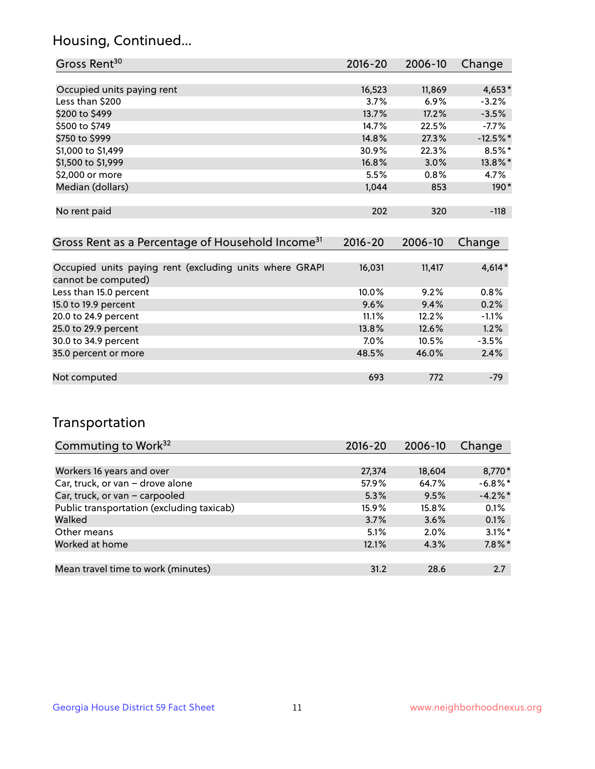## Housing, Continued...

| Gross Rent <sup>30</sup>   | 2016-20 | 2006-10 | Change     |
|----------------------------|---------|---------|------------|
|                            |         |         |            |
| Occupied units paying rent | 16,523  | 11,869  | $4,653*$   |
| Less than \$200            | 3.7%    | 6.9%    | $-3.2%$    |
| \$200 to \$499             | 13.7%   | 17.2%   | $-3.5%$    |
| \$500 to \$749             | 14.7%   | 22.5%   | $-7.7\%$   |
| \$750 to \$999             | 14.8%   | 27.3%   | $-12.5%$ * |
| \$1,000 to \$1,499         | 30.9%   | 22.3%   | $8.5\%$ *  |
| \$1,500 to \$1,999         | 16.8%   | 3.0%    | 13.8%*     |
| \$2,000 or more            | 5.5%    | 0.8%    | 4.7%       |
| Median (dollars)           | 1,044   | 853     | $190*$     |
|                            |         |         |            |
| No rent paid               | 202     | 320     | $-118$     |
|                            |         |         |            |

| Gross Rent as a Percentage of Household Income <sup>31</sup>                   | $2016 - 20$ | 2006-10 | Change   |
|--------------------------------------------------------------------------------|-------------|---------|----------|
|                                                                                |             |         |          |
| Occupied units paying rent (excluding units where GRAPI<br>cannot be computed) | 16,031      | 11,417  | $4,614*$ |
| Less than 15.0 percent                                                         | 10.0%       | 9.2%    | 0.8%     |
| 15.0 to 19.9 percent                                                           | 9.6%        | 9.4%    | 0.2%     |
| 20.0 to 24.9 percent                                                           | 11.1%       | 12.2%   | $-1.1%$  |
| 25.0 to 29.9 percent                                                           | 13.8%       | 12.6%   | 1.2%     |
| 30.0 to 34.9 percent                                                           | $7.0\%$     | 10.5%   | $-3.5%$  |
| 35.0 percent or more                                                           | 48.5%       | 46.0%   | 2.4%     |
|                                                                                |             |         |          |
| Not computed                                                                   | 693         | 772     | $-79$    |

## Transportation

| Commuting to Work <sup>32</sup>           | 2016-20 | 2006-10  | Change     |
|-------------------------------------------|---------|----------|------------|
|                                           |         |          |            |
| Workers 16 years and over                 | 27,374  | 18,604   | 8,770*     |
| Car, truck, or van - drove alone          | 57.9%   | 64.7%    | $-6.8\%$ * |
| Car, truck, or van - carpooled            | 5.3%    | 9.5%     | $-4.2\%$ * |
| Public transportation (excluding taxicab) | 15.9%   | $15.8\%$ | 0.1%       |
| Walked                                    | 3.7%    | 3.6%     | 0.1%       |
| Other means                               | 5.1%    | $2.0\%$  | $3.1\%$ *  |
| Worked at home                            | 12.1%   | 4.3%     | $7.8\%$ *  |
|                                           |         |          |            |
| Mean travel time to work (minutes)        | 31.2    | 28.6     | 2.7        |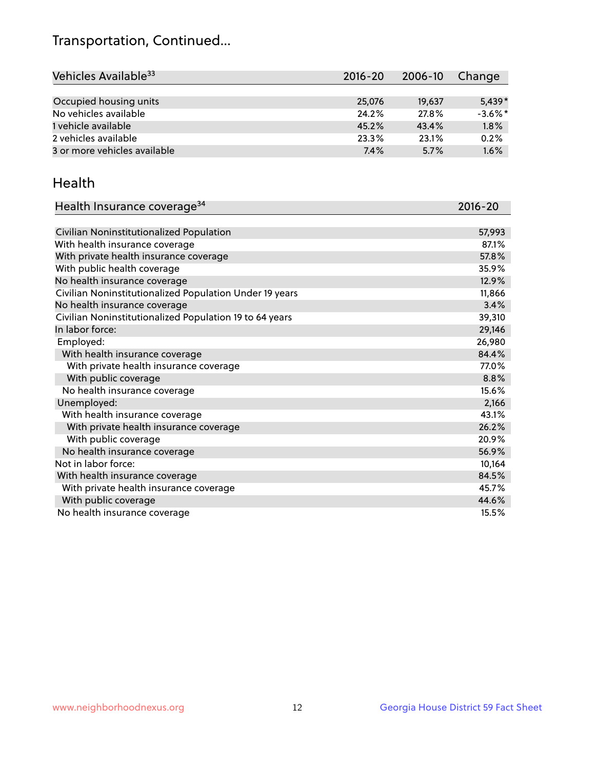## Transportation, Continued...

| Vehicles Available <sup>33</sup> | 2016-20 | 2006-10 | Change     |
|----------------------------------|---------|---------|------------|
|                                  |         |         |            |
| Occupied housing units           | 25,076  | 19,637  | $5.439*$   |
| No vehicles available            | 24.2%   | 27.8%   | $-3.6\%$ * |
| 1 vehicle available              | 45.2%   | 43.4%   | 1.8%       |
| 2 vehicles available             | 23.3%   | 23.1%   | 0.2%       |
| 3 or more vehicles available     | 7.4%    | 5.7%    | 1.6%       |

#### Health

| Health Insurance coverage <sup>34</sup>                 | 2016-20 |
|---------------------------------------------------------|---------|
|                                                         |         |
| Civilian Noninstitutionalized Population                | 57,993  |
| With health insurance coverage                          | 87.1%   |
| With private health insurance coverage                  | 57.8%   |
| With public health coverage                             | 35.9%   |
| No health insurance coverage                            | 12.9%   |
| Civilian Noninstitutionalized Population Under 19 years | 11,866  |
| No health insurance coverage                            | 3.4%    |
| Civilian Noninstitutionalized Population 19 to 64 years | 39,310  |
| In labor force:                                         | 29,146  |
| Employed:                                               | 26,980  |
| With health insurance coverage                          | 84.4%   |
| With private health insurance coverage                  | 77.0%   |
| With public coverage                                    | 8.8%    |
| No health insurance coverage                            | 15.6%   |
| Unemployed:                                             | 2,166   |
| With health insurance coverage                          | 43.1%   |
| With private health insurance coverage                  | 26.2%   |
| With public coverage                                    | 20.9%   |
| No health insurance coverage                            | 56.9%   |
| Not in labor force:                                     | 10,164  |
| With health insurance coverage                          | 84.5%   |
| With private health insurance coverage                  | 45.7%   |
| With public coverage                                    | 44.6%   |
| No health insurance coverage                            | 15.5%   |